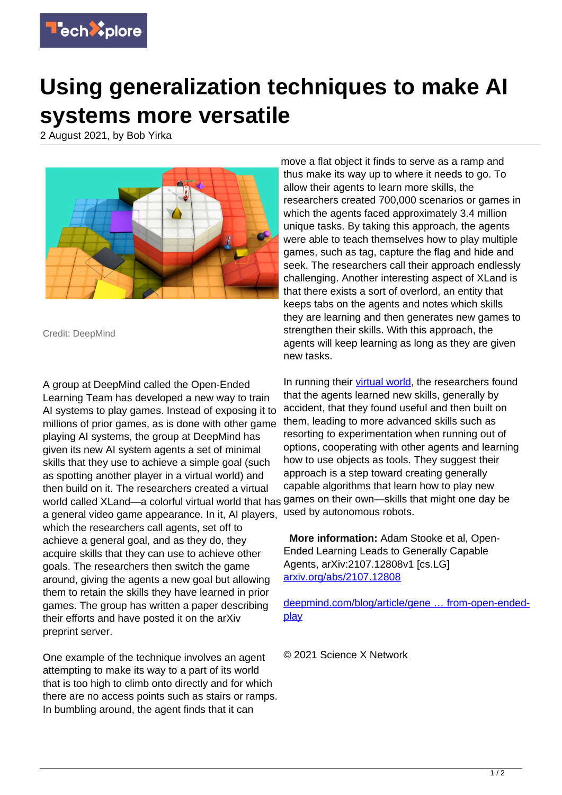

## **Using generalization techniques to make AI systems more versatile**

2 August 2021, by Bob Yirka



Credit: DeepMind

A group at DeepMind called the Open-Ended Learning Team has developed a new way to train AI systems to play games. Instead of exposing it to millions of prior games, as is done with other game playing AI systems, the group at DeepMind has given its new AI system agents a set of minimal skills that they use to achieve a simple goal (such as spotting another player in a virtual world) and then build on it. The researchers created a virtual world called XLand—a colorful virtual world that has games on their own—skills that might one day be a general video game appearance. In it, AI players, which the researchers call agents, set off to achieve a general goal, and as they do, they acquire skills that they can use to achieve other goals. The researchers then switch the game around, giving the agents a new goal but allowing them to retain the skills they have learned in prior games. The group has written a paper describing their efforts and have posted it on the arXiv preprint server.

One example of the technique involves an agent attempting to make its way to a part of its world that is too high to climb onto directly and for which there are no access points such as stairs or ramps. In bumbling around, the agent finds that it can

move a flat object it finds to serve as a ramp and thus make its way up to where it needs to go. To allow their agents to learn more skills, the researchers created 700,000 scenarios or games in which the agents faced approximately 3.4 million unique tasks. By taking this approach, the agents were able to teach themselves how to play multiple games, such as tag, capture the flag and hide and seek. The researchers call their approach endlessly challenging. Another interesting aspect of XLand is that there exists a sort of overlord, an entity that keeps tabs on the agents and notes which skills they are learning and then generates new games to strengthen their skills. With this approach, the agents will keep learning as long as they are given new tasks.

In running their [virtual world,](https://techxplore.com/tags/virtual+world/) the researchers found that the agents learned new skills, generally by accident, that they found useful and then built on them, leading to more advanced skills such as resorting to experimentation when running out of options, cooperating with other agents and learning how to use objects as tools. They suggest their approach is a step toward creating generally capable algorithms that learn how to play new used by autonomous robots.

 **More information:** Adam Stooke et al, Open-Ended Learning Leads to Generally Capable Agents, arXiv:2107.12808v1 [cs.LG] [arxiv.org/abs/2107.12808](https://arxiv.org/abs/2107.12808)

[deepmind.com/blog/article/gene … from-open-ended](https://deepmind.com/blog/article/generally-capable-agents-emerge-from-open-ended-play)[play](https://deepmind.com/blog/article/generally-capable-agents-emerge-from-open-ended-play)

© 2021 Science X Network